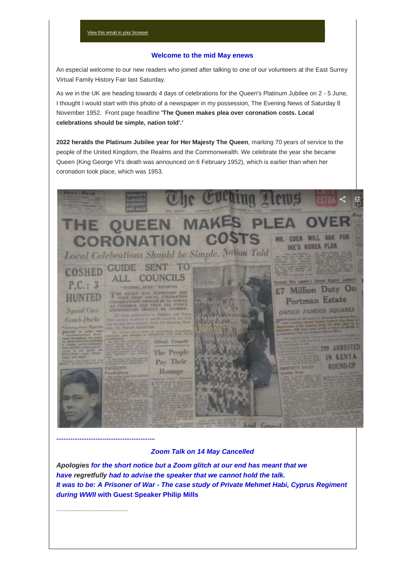### **Welcome to the mid May enews**

An especial welcome to our new readers who joined after talking to one of our volunteers at the East Surrey Virtual Family History Fair last Saturday.

As we in the UK are heading towards 4 days of celebrations for the Queen's Platinum Jubilee on 2 - 5 June, I thought I would start with this photo of a newspaper in my possession, The Evening News of Saturday 8 November 1952. Front page headline **'The Queen makes plea over coronation costs. Local celebrations should be simple, nation told'.'**

**2022 heralds the Platinum Jubilee year for Her Majesty The Queen**, marking 70 years of service to the people of the United Kingdom, the Realms and the Commonwealth. We celebrate the year she became Queen (King George VI's death was announced on 6 February 1952), which is earlier than when her coronation took place, which was 1953.



*Zoom Talk on 14 May Cancelled*

*Apologies for the short notice but a Zoom glitch at our end has meant that we have regretfully had to advise the speaker that we cannot hold the talk. It was to be: A Prisoner of War - The case study of Private Mehmet Habi, Cyprus Regiment during WWII* **with Guest Speaker Philip Mills**

..........................................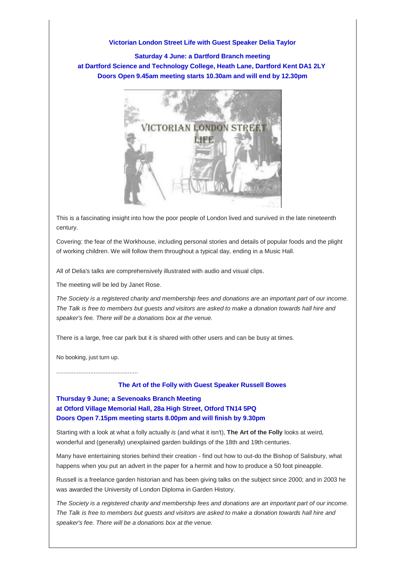## **Victorian London Street Life with Guest Speaker Delia Taylor**

**Saturday 4 June: a Dartford Branch meeting at Dartford Science and Technology College, Heath Lane, Dartford Kent DA1 2LY Doors Open 9.45am meeting starts 10.30am and will end by 12.30pm**



This is a fascinating insight into how the poor people of London lived and survived in the late nineteenth century.

Covering: the fear of the Workhouse, including personal stories and details of popular foods and the plight of working children. We will follow them throughout a typical day, ending in a Music Hall.

All of Delia's talks are comprehensively illustrated with audio and visual clips.

The meeting will be led by Janet Rose.

*The Society is a registered charity and membership fees and donations are an important part of our income. The Talk is free to members but guests and visitors are asked to make a donation towards hall hire and speaker's fee. There will be a donations box at the venue.*

There is a large, free car park but it is shared with other users and can be busy at times.

No booking, just turn up.

................................................

#### **The Art of the Folly with Guest Speaker Russell Bowes**

**Thursday 9 June; a Sevenoaks Branch Meeting at Otford Village Memorial Hall, 28a High Street, Otford TN14 5PQ Doors Open 7.15pm meeting starts 8.00pm and will finish by 9.30pm**

Starting with a look at what a folly actually *is* (and what it isn't), **The Art of the Folly** looks at weird, wonderful and (generally) unexplained garden buildings of the 18th and 19th centuries.

Many have entertaining stories behind their creation - find out how to out-do the Bishop of Salisbury, what happens when you put an advert in the paper for a hermit and how to produce a 50 foot pineapple.

Russell is a freelance garden historian and has been giving talks on the subject since 2000; and in 2003 he was awarded the University of London Diploma in Garden History.

*The Society is a registered charity and membership fees and donations are an important part of our income. The Talk is free to members but guests and visitors are asked to make a donation towards hall hire and speaker's fee. There will be a donations box at the venue.*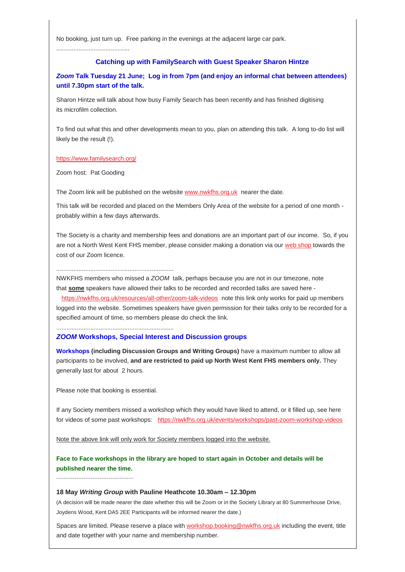No booking, just turn up. Free parking in the evenings at the adjacent large car park.

...........................................

# **Catching up with FamilySearch with Guest Speaker Sharon Hintze**

*Zoom* **Talk Tuesday 21 June; Log in from 7pm (and enjoy an informal chat between attendees) until 7.30pm start of the talk.**

Sharon Hintze will talk about how busy Family Search has been recently and has finished digitising its microfilm collection.

To find out what this and other developments mean to you, plan on attending this talk. A long to-do list will likely be the result (!).

#### <https://www.familysearch.org/>

Zoom host: Pat Gooding

The Zoom link will be published on the website [www.nwkfhs.org.uk](http://www.nwkfhs.org.uk/) nearer the date.

This talk will be recorded and placed on the Members Only Area of the website for a period of one month probably within a few days afterwards.

The Society is a charity and membership fees and donations are an important part of our income. So, if you are not a North West Kent FHS member, please consider making a donation via our [web shop](http://www.nwkfhs.org.uk/shop/nwkfhs-shop/services/society-donation) towards the cost of our Zoom licence.

.....................................................................

NWKFHS members who missed a *ZOOM* talk, perhaps because you are not in our timezone, note that **some** speakers have allowed their talks to be recorded and recorded talks are saved here -

 <https://nwkfhs.org.uk/resources/all-other/zoom-talk-videos> note this link only works for paid up members logged into the website. Sometimes speakers have given permission for their talks only to be recorded for a specified amount of time, so members please do check the link.

.....................................................................

#### *ZOOM* **Workshops, Special Interest and Discussion groups**

**Workshops (including Discussion Groups and Writing Groups)** have a maximum number to allow all participants to be involved, **and are restricted to paid up North West Kent FHS members only.** They generally last for about 2 hours.

Please note that booking is essential.

If any Society members missed a workshop which they would have liked to attend, or it filled up, see here for videos of some past workshops: <https://nwkfhs.org.uk/events/workshops/past-zoom-workshop-videos>

Note the above link will only work for Society members logged into the website.

**Face to Face workshops in the library are hoped to start again in October and details will be published nearer the time.**

**----------------------------------**

#### **18 May** *Writing Group* **with Pauline Heathcote 10.30am – 12.30pm**

(A decision will be made nearer the date whether this will be Zoom or in the Society Library at 80 Summerhouse Drive, Joydens Wood, Kent DA5 2EE Participants will be informed nearer the date.)

Spaces are limited. Please reserve a place with [workshop.booking@nwkfhs.org.uk](mailto:workshop.booking@nwkfhs.org.uk?subject=18%20May%20Writing%20Group) including the event, title and date together with your name and membership number.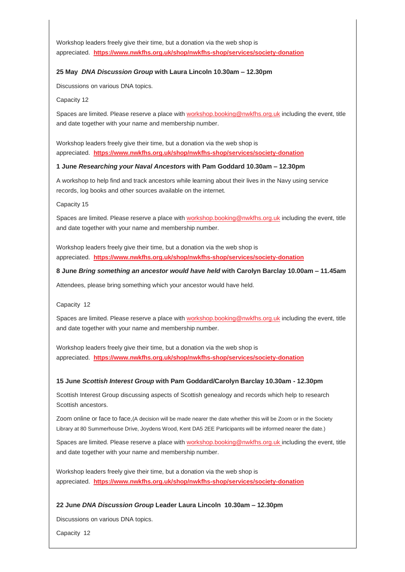Workshop leaders freely give their time, but a donation via the web shop is appreciated. **<https://www.nwkfhs.org.uk/shop/nwkfhs-shop/services/society-donation>**

## **25 May** *DNA Discussion Group* **with Laura Lincoln 10.30am – 12.30pm**

Discussions on various DNA topics.

Capacity 12

Spaces are limited. Please reserve a place with [workshop.booking@nwkfhs.org.uk](mailto:workshop.booking@nwkfhs.org.uk?subject=25%20May%20Zoom%20DNA%20Discussion%20Group) including the event, title and date together with your name and membership number.

Workshop leaders freely give their time, but a donation via the web shop is appreciated. **<https://www.nwkfhs.org.uk/shop/nwkfhs-shop/services/society-donation>**

## **1 June** *Researching your Naval Ancestors* **with Pam Goddard 10.30am – 12.30pm**

A workshop to help find and track ancestors while learning about their lives in the Navy using service records, log books and other sources available on the internet.

Capacity 15

Spaces are limited. Please reserve a place with [workshop.booking@nwkfhs.org.uk](mailto:workshop.booking@nwkfhs.org.uk?subject=NWKFHS%20Workshop%20%201%20June%20Naval%20Ancestors) including the event, title and date together with your name and membership number.

Workshop leaders freely give their time, but a donation via the web shop is appreciated. **<https://www.nwkfhs.org.uk/shop/nwkfhs-shop/services/society-donation>**

# **8 June** *Bring something an ancestor would have held* **with Carolyn Barclay 10.00am – 11.45am**

Attendees, please bring something which your ancestor would have held.

Capacity 12

Spaces are limited. Please reserve a place with [workshop.booking@nwkfhs.org.uk](mailto:workshop.booking@nwkfhs.org.uk?subject=NWKFHS%20Workshop%20%208%20June%20Something%20your%20ancestor%20would%20have%20held) including the event, title and date together with your name and membership number.

Workshop leaders freely give their time, but a donation via the web shop is appreciated. **<https://www.nwkfhs.org.uk/shop/nwkfhs-shop/services/society-donation>**

# **15 June** *Scottish Interest Group* **with Pam Goddard/Carolyn Barclay 10.30am - 12.30pm**

Scottish Interest Group discussing aspects of Scottish genealogy and records which help to research Scottish ancestors.

Zoom online or face to face,(A decision will be made nearer the date whether this will be Zoom or in the Society Library at 80 Summerhouse Drive, Joydens Wood, Kent DA5 2EE Participants will be informed nearer the date.)

Spaces are limited. Please reserve a place with [workshop.booking@nwkfhs.org.uk](mailto:workshop.booking@nwkfhs.org.uk?subject=NWKFHS%20Workshop%20%2015%20June%20Scottish%20Discussion) including the event, title and date together with your name and membership number.

Workshop leaders freely give their time, but a donation via the web shop is appreciated. **<https://www.nwkfhs.org.uk/shop/nwkfhs-shop/services/society-donation>**

# **22 June** *DNA Discussion Group* **Leader Laura Lincoln 10.30am – 12.30pm**

Discussions on various DNA topics.

Capacity 12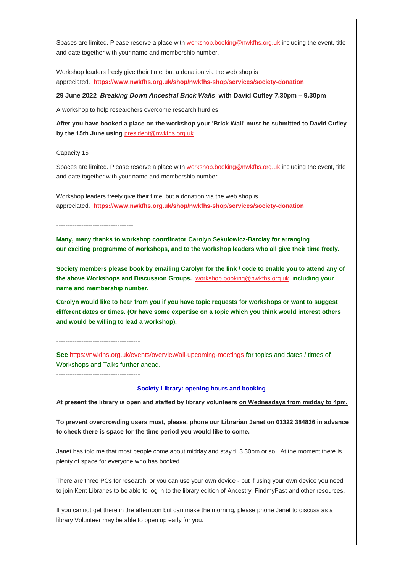Spaces are limited. Please reserve a place with [workshop.booking@nwkfhs.org.uk](mailto:workshop.booking@nwkfhs.org.uk?subject=NWKFHS%20Workshop%20%2022%20June%20DNA%20) including the event, title and date together with your name and membership number.

Workshop leaders freely give their time, but a donation via the web shop is appreciated. **<https://www.nwkfhs.org.uk/shop/nwkfhs-shop/services/society-donation>**

## **29 June 2022** *Breaking Down Ancestral Brick Walls* **with David Cufley 7.30pm – 9.30pm**

A workshop to help researchers overcome research hurdles.

**After you have booked a place on the workshop your 'Brick Wall' must be submitted to David Cufley by the 15th June using** [president@nwkfhs.org.uk](mailto:president@nwkfhs.org.uk?subject=My%20Ancestral%20Brick%20Wall%20problem%20for%20workshop%2029%20June)

Capacity 15

Spaces are limited. Please reserve a place with [workshop.booking@nwkfhs.org.uk](mailto:workshop.booking@nwkfhs.org.uk?subject=NWKFHS%20Workshop%20%2029%20June%20Brick%20Walls) including the event, title and date together with your name and membership number.

Workshop leaders freely give their time, but a donation via the web shop is appreciated. **<https://www.nwkfhs.org.uk/shop/nwkfhs-shop/services/society-donation>**

**----------------------------------**

**-------------------------------------**

**-------------------------------------**

**Many, many thanks to workshop coordinator Carolyn Sekulowicz-Barclay for arranging our exciting programme of workshops, and to the workshop leaders who all give their time freely.**

**Society members please book by emailing Carolyn for the link / code to enable you to attend any of the above Workshops and Discussion Groups.** [workshop.booking@nwkfhs.org.uk](mailto:workshop.booking@nwkfhs.org.uk?subject=NWKFHS%20Workshops) i**ncluding your name and membership number.**

**Carolyn would like to hear from you if you have topic requests for workshops or want to suggest different dates or times. (Or have some expertise on a topic which you think would interest others and would be willing to lead a workshop).**

**See** <https://nwkfhs.org.uk/events/overview/all-upcoming-meetings> **f**or topics and dates / times of Workshops and Talks further ahead.

#### **Society Library: opening hours and booking**

**At present the library is open and staffed by library volunteers on Wednesdays from midday to 4pm.**

**To prevent overcrowding users must, please, phone our Librarian Janet on 01322 384836 in advance to check there is space for the time period you would like to come.**

Janet has told me that most people come about midday and stay til 3.30pm or so. At the moment there is plenty of space for everyone who has booked.

There are three PCs for research; or you can use your own device - but if using your own device you need to join Kent Libraries to be able to log in to the library edition of Ancestry, FindmyPast and other resources.

If you cannot get there in the afternoon but can make the morning, please phone Janet to discuss as a library Volunteer may be able to open up early for you.